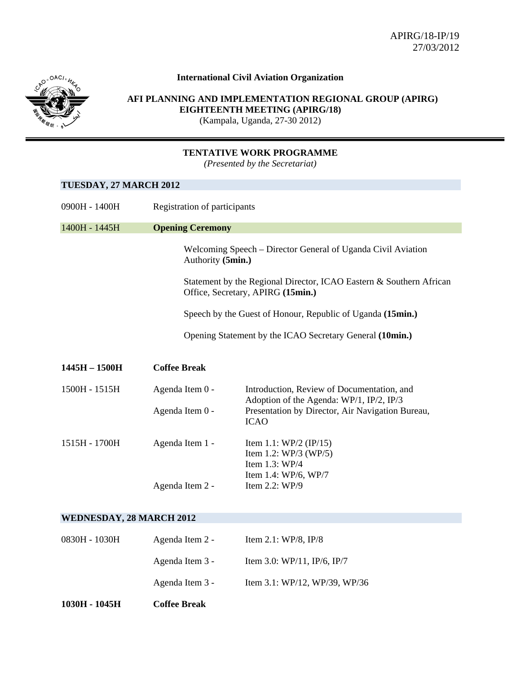

## **International Civil Aviation Organization**

 **AFI PLANNING AND IMPLEMENTATION REGIONAL GROUP (APIRG) EIGHTEENTH MEETING (APIRG/18)** (Kampala, Uganda, 27-30 2012)

## **TENTATIVE WORK PROGRAMME**

*(Presented by the Secretariat)* 

## **TUESDAY, 27 MARCH 2012**

| 0900H - 1400H                   | Registration of participants                             |                                                                                                                                            |  |  |
|---------------------------------|----------------------------------------------------------|--------------------------------------------------------------------------------------------------------------------------------------------|--|--|
| 1400H - 1445H                   | <b>Opening Ceremony</b>                                  |                                                                                                                                            |  |  |
|                                 | Authority (5min.)                                        | Welcoming Speech – Director General of Uganda Civil Aviation                                                                               |  |  |
|                                 |                                                          | Statement by the Regional Director, ICAO Eastern & Southern African<br>Office, Secretary, APIRG (15min.)                                   |  |  |
|                                 |                                                          | Speech by the Guest of Honour, Republic of Uganda (15min.)                                                                                 |  |  |
|                                 | Opening Statement by the ICAO Secretary General (10min.) |                                                                                                                                            |  |  |
| $1445H - 1500H$                 | <b>Coffee Break</b>                                      |                                                                                                                                            |  |  |
| 1500H - 1515H                   | Agenda Item 0 -<br>Agenda Item 0 -                       | Introduction, Review of Documentation, and<br>Adoption of the Agenda: WP/1, IP/2, IP/3<br>Presentation by Director, Air Navigation Bureau, |  |  |
|                                 |                                                          | <b>ICAO</b>                                                                                                                                |  |  |
| 1515H - 1700H                   | Agenda Item 1 -                                          | Item 1.1: $WP/2$ (IP/15)<br>Item 1.2: $WP/3$ (WP/5)<br>Item 1.3: WP/4                                                                      |  |  |
|                                 | Agenda Item 2 -                                          | Item 1.4: WP/6, WP/7<br>Item 2.2: WP/9                                                                                                     |  |  |
| <b>WEDNESDAY, 28 MARCH 2012</b> |                                                          |                                                                                                                                            |  |  |
| 0830H - 1030H                   | Agenda Item 2 -                                          | Item 2.1: WP/8, IP/8                                                                                                                       |  |  |
|                                 | Agenda Item 3 -                                          | Item 3.0: WP/11, IP/6, IP/7                                                                                                                |  |  |
|                                 | Agenda Item 3 -                                          | Item 3.1: WP/12, WP/39, WP/36                                                                                                              |  |  |